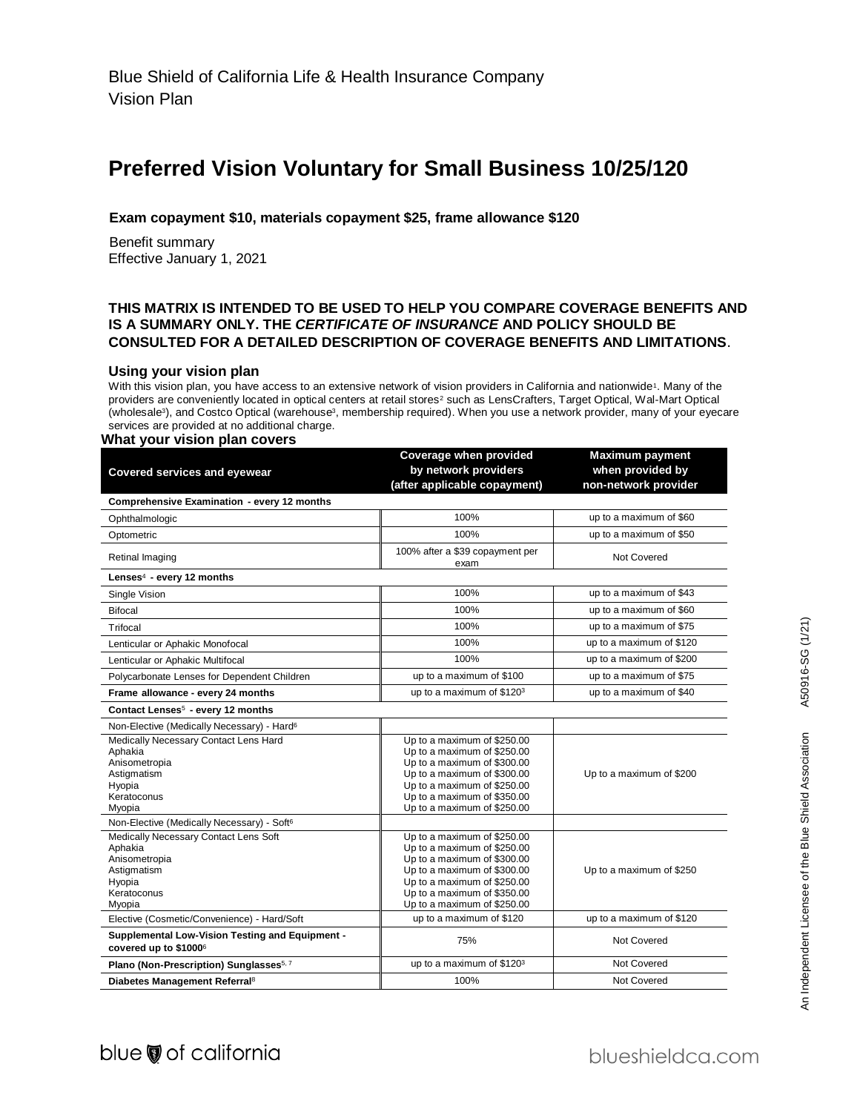## **Preferred Vision Voluntary for Small Business 10/25/120**

#### **Exam copayment \$10, materials copayment \$25, frame allowance \$120**

 Benefit summary Effective January 1, 2021

#### **THIS MATRIX IS INTENDED TO BE USED TO HELP YOU COMPARE COVERAGE BENEFITS AND IS A SUMMARY ONLY. THE** *CERTIFICATE OF INSURANCE* **AND POLICY SHOULD BE CONSULTED FOR A DETAILED DESCRIPTION OF COVERAGE BENEFITS AND LIMITATIONS**.

#### **Using your vision plan**

With this vision plan, you have access to an extensive network of vision providers in California and nationwide<sup>1</sup>. Many of the providers are conveniently located in optical centers at retail stores<sup>2</sup> such as LensCrafters, Target Optical, Wal-Mart Optical (wholesale<sup>3</sup>), and Costco Optical (warehouse<sup>3</sup>, membership required). When you use a network provider, many of your eyecare services are provided at no additional charge.

#### **What your vision plan covers**

|                                                                                 | Coverage when provided                                     | <b>Maximum payment</b>   |
|---------------------------------------------------------------------------------|------------------------------------------------------------|--------------------------|
| <b>Covered services and eyewear</b>                                             | by network providers                                       | when provided by         |
|                                                                                 | (after applicable copayment)                               | non-network provider     |
| Comprehensive Examination - every 12 months                                     |                                                            |                          |
| Ophthalmologic                                                                  | 100%                                                       | up to a maximum of \$60  |
| Optometric                                                                      | 100%                                                       | up to a maximum of \$50  |
| Retinal Imaging                                                                 | 100% after a \$39 copayment per<br>exam                    | Not Covered              |
| Lenses <sup>4</sup> - every 12 months                                           |                                                            |                          |
| Single Vision                                                                   | 100%                                                       | up to a maximum of \$43  |
| Bifocal                                                                         | 100%                                                       | up to a maximum of \$60  |
| Trifocal                                                                        | 100%                                                       | up to a maximum of \$75  |
| Lenticular or Aphakic Monofocal                                                 | 100%                                                       | up to a maximum of \$120 |
| Lenticular or Aphakic Multifocal                                                | 100%                                                       | up to a maximum of \$200 |
| Polycarbonate Lenses for Dependent Children                                     | up to a maximum of \$100                                   | up to a maximum of \$75  |
| Frame allowance - every 24 months                                               | up to a maximum of \$1203                                  | up to a maximum of \$40  |
| Contact Lenses <sup>5</sup> - every 12 months                                   |                                                            |                          |
| Non-Elective (Medically Necessary) - Hard <sup>6</sup>                          |                                                            |                          |
| Medically Necessary Contact Lens Hard                                           | Up to a maximum of \$250.00                                |                          |
| Aphakia                                                                         | Up to a maximum of \$250.00                                |                          |
| Anisometropia                                                                   | Up to a maximum of \$300.00                                |                          |
| Astigmatism                                                                     | Up to a maximum of \$300.00                                | Up to a maximum of \$200 |
| Hyopia<br>Keratoconus                                                           | Up to a maximum of \$250.00<br>Up to a maximum of \$350.00 |                          |
|                                                                                 | Up to a maximum of \$250.00                                |                          |
| Myopia<br>Non-Elective (Medically Necessary) - Soft <sup>6</sup>                |                                                            |                          |
| Medically Necessary Contact Lens Soft                                           | Up to a maximum of \$250.00                                |                          |
| Aphakia                                                                         | Up to a maximum of \$250.00                                |                          |
| Anisometropia                                                                   | Up to a maximum of \$300.00                                |                          |
|                                                                                 |                                                            | Up to a maximum of \$250 |
| Astigmatism                                                                     | Up to a maximum of \$300.00                                |                          |
| Hyopia                                                                          | Up to a maximum of \$250.00                                |                          |
| Keratoconus                                                                     | Up to a maximum of \$350.00                                |                          |
| Myopia<br>Elective (Cosmetic/Convenience) - Hard/Soft                           | Up to a maximum of \$250.00<br>up to a maximum of \$120    | up to a maximum of \$120 |
|                                                                                 |                                                            |                          |
| <b>Supplemental Low-Vision Testing and Equipment -</b><br>covered up to \$10006 | 75%                                                        | Not Covered              |
| Plano (Non-Prescription) Sunglasses <sup>5, 7</sup>                             | up to a maximum of \$1203                                  | <b>Not Covered</b>       |
| Diabetes Management Referral <sup>8</sup>                                       | 100%                                                       | Not Covered              |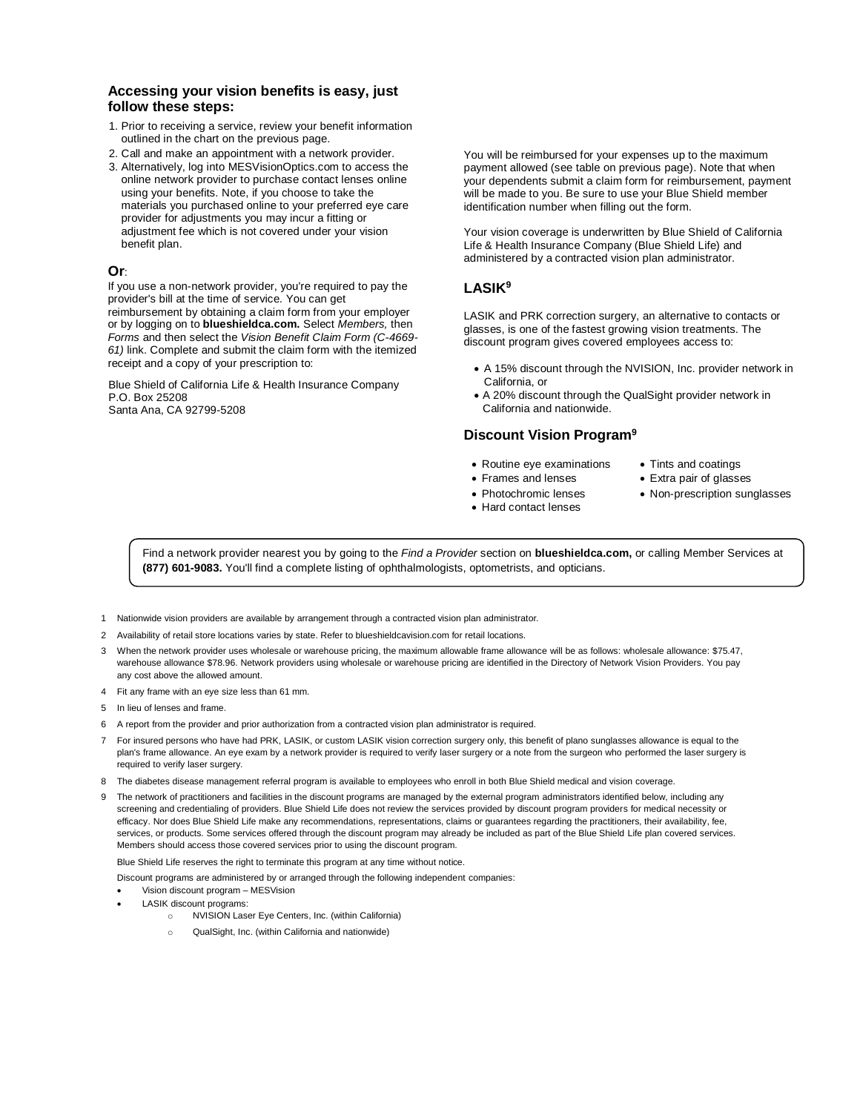#### **Accessing your vision benefits is easy, just follow these steps:**

- 1. Prior to receiving a service, review your benefit information outlined in the chart on the previous page.
- 2. Call and make an appointment with a network provider.
- 3. Alternatively, log into MESVisionOptics.com to access the online network provider to purchase contact lenses online using your benefits. Note, if you choose to take the materials you purchased online to your preferred eye care provider for adjustments you may incur a fitting or adjustment fee which is not covered under your vision benefit plan.

#### **Or**:

If you use a non-network provider, you're required to pay the provider's bill at the time of service. You can get reimbursement by obtaining a claim form from your employer or by logging on to **blueshieldca.com.** Select *Members,* then *Forms* and then select the *Vision Benefit Claim Form (C-4669- 61)* link. Complete and submit the claim form with the itemized receipt and a copy of your prescription to:

Blue Shield of California Life & Health Insurance Company P.O. Box 25208 Santa Ana, CA 92799-5208

You will be reimbursed for your expenses up to the maximum payment allowed (see table on previous page). Note that when your dependents submit a claim form for reimbursement, payment will be made to you. Be sure to use your Blue Shield member identification number when filling out the form.

Your vision coverage is underwritten by Blue Shield of California Life & Health Insurance Company (Blue Shield Life) and administered by a contracted vision plan administrator.

#### **LASIK<sup>9</sup>**

LASIK and PRK correction surgery, an alternative to contacts or glasses, is one of the fastest growing vision treatments. The discount program gives covered employees access to:

- A 15% discount through the NVISION, Inc. provider network in California, or
- A 20% discount through the QualSight provider network in California and nationwide.

#### **Discount Vision Program<sup>9</sup>**

- Routine eye examinations Tints and coatings
- Frames and lenses Extra pair of glasses
- Photochromic lenses Non-prescription sunglasses
- 
- Hard contact lenses

Find a network provider nearest you by going to the *Find a Provider* section on **blueshieldca.com,** or calling Member Services at **(877) 601-9083.** You'll find a complete listing of ophthalmologists, optometrists, and opticians.

- 1 Nationwide vision providers are available by arrangement through a contracted vision plan administrator.
- 2 Availability of retail store locations varies by state. Refer to blueshieldcavision.com for retail locations.
- 3 When the network provider uses wholesale or warehouse pricing, the maximum allowable frame allowance will be as follows: wholesale allowance: \$75.47, warehouse allowance \$78.96. Network providers using wholesale or warehouse pricing are identified in the Directory of Network Vision Providers. You pay any cost above the allowed amount.
- 4 Fit any frame with an eye size less than 61 mm.
- 5 In lieu of lenses and frame.
- 6 A report from the provider and prior authorization from a contracted vision plan administrator is required.
- 7 For insured persons who have had PRK, LASIK, or custom LASIK vision correction surgery only, this benefit of plano sunglasses allowance is equal to the plan's frame allowance. An eye exam by a network provider is required to verify laser surgery or a note from the surgeon who performed the laser surgery is required to verify laser surgery.
- 8 The diabetes disease management referral program is available to employees who enroll in both Blue Shield medical and vision coverage.
- 9 The network of practitioners and facilities in the discount programs are managed by the external program administrators identified below, including any screening and credentialing of providers. Blue Shield Life does not review the services provided by discount program providers for medical necessity or efficacy. Nor does Blue Shield Life make any recommendations, representations, claims or guarantees regarding the practitioners, their availability, fee, services, or products. Some services offered through the discount program may already be included as part of the Blue Shield Life plan covered services. Members should access those covered services prior to using the discount program.

Blue Shield Life reserves the right to terminate this program at any time without notice.

- Discount programs are administered by or arranged through the following independent companies:
- Vision discount program MESVision
- LASIK discount programs:
	- o NVISION Laser Eye Centers, Inc. (within California)
	- o QualSight, Inc. (within California and nationwide)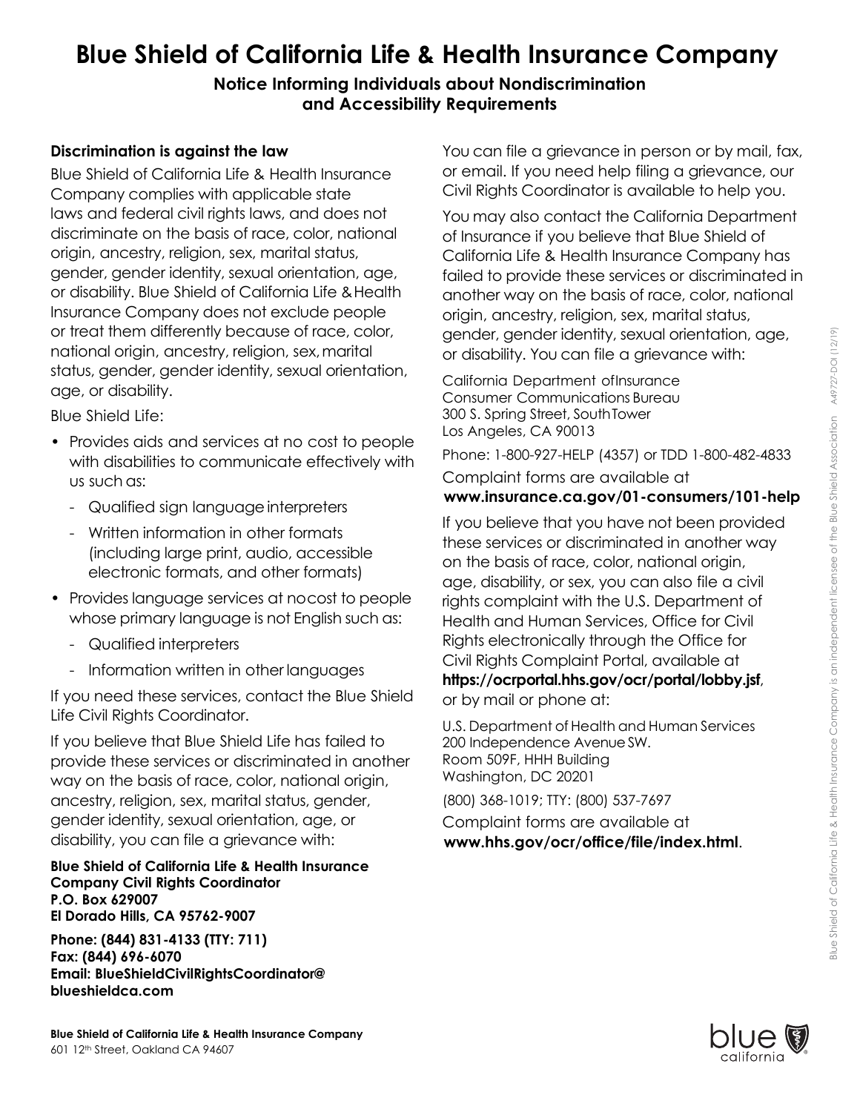# **Blue Shield of California Life & Health Insurance Company**

**Notice Informing Individuals about Nondiscrimination and Accessibility Requirements** 

## **Discrimination is against the law**

Blue Shield of California Life & Health Insurance Company complies with applicable state laws and federal civil rights laws, and does not discriminate on the basis of race, color, national origin, ancestry, religion, sex, marital status, gender, gender identity, sexual orientation, age, or disability. Blue Shield of California Life & Health Insurance Company does not exclude people or treat them differently because of race, color, national origin, ancestry, religion, sex,marital status, gender, gender identity, sexual orientation, age, or disability.

Blue Shield Life:

- Provides aids and services at no cost to people with disabilities to communicate effectively with us such as:
	- Qualified sign language interpreters
	- Written information in other formats (including large print, audio, accessible electronic formats, and other formats)
- Provides language services at nocost to people whose primary language is not English such as:
	- Qualified interpreters
	- Information written in other languages

If you need these services, contact the Blue Shield Life Civil Rights Coordinator.

If you believe that Blue Shield Life has failed to provide these services or discriminated in another way on the basis of race, color, national origin, ancestry, religion, sex, marital status, gender, gender identity, sexual orientation, age, or disability, you can file a grievance with:

#### **Blue Shield of California Life & Health Insurance Company Civil Rights Coordinator P.O. Box 629007 El Dorado Hills, CA 95762-9007**

**Phone: (844) 831-4133 (TTY: 711) Fax: (844) 696-6070 Email: [BlueShieldCivilRightsCoordinator@](mailto:BlueShieldCivilRightsCoordinator@blueshieldca.com)  [blueshieldca.com](mailto:BlueShieldCivilRightsCoordinator@blueshieldca.com)**

You can file a grievance in person or by mail, fax, or email. If you need help filing a grievance, our Civil Rights Coordinator is available to help you.

You may also contact the California Department of Insurance if you believe that Blue Shield of California Life & Health Insurance Company has failed to provide these services or discriminated in another way on the basis of race, color, national origin, ancestry, religion, sex, marital status, gender, gender identity, sexual orientation, age, or disability. You can file a grievance with:

California Department ofInsurance Consumer Communications Bureau 300 S. Spring Street, SouthTower Los Angeles, CA 90013

Phone: 1-800-927-HELP (4357) or TDD 1-800-482-4833 Complaint forms are available at

### **[www.insurance.ca.gov/01-consumers/101-help](http://www.insurance.ca.gov/01-consumers/101-help)**

If you believe that you have not been provided these services or discriminated in another way on the basis of race, color, national origin, age, disability, or sex, you can also file a civil rights complaint with the U.S. Department of Health and Human Services, Office for Civil Rights electronically through the Office for Civil Rights Complaint Portal, available at **<https://ocrportal.hhs.gov/ocr/portal/lobby.jsf>**, or by mail or phone at:

U.S. Department of Health and Human Services 200 Independence AvenueSW. Room 509F, HHH Building Washington, DC 20201

(800) 368-1019; TTY: (800) 537-7697

Complaint forms are available at **[www.hhs.gov/ocr/office/file/index.html](http://www.hhs.gov/ocr/office/file/index.html)**.

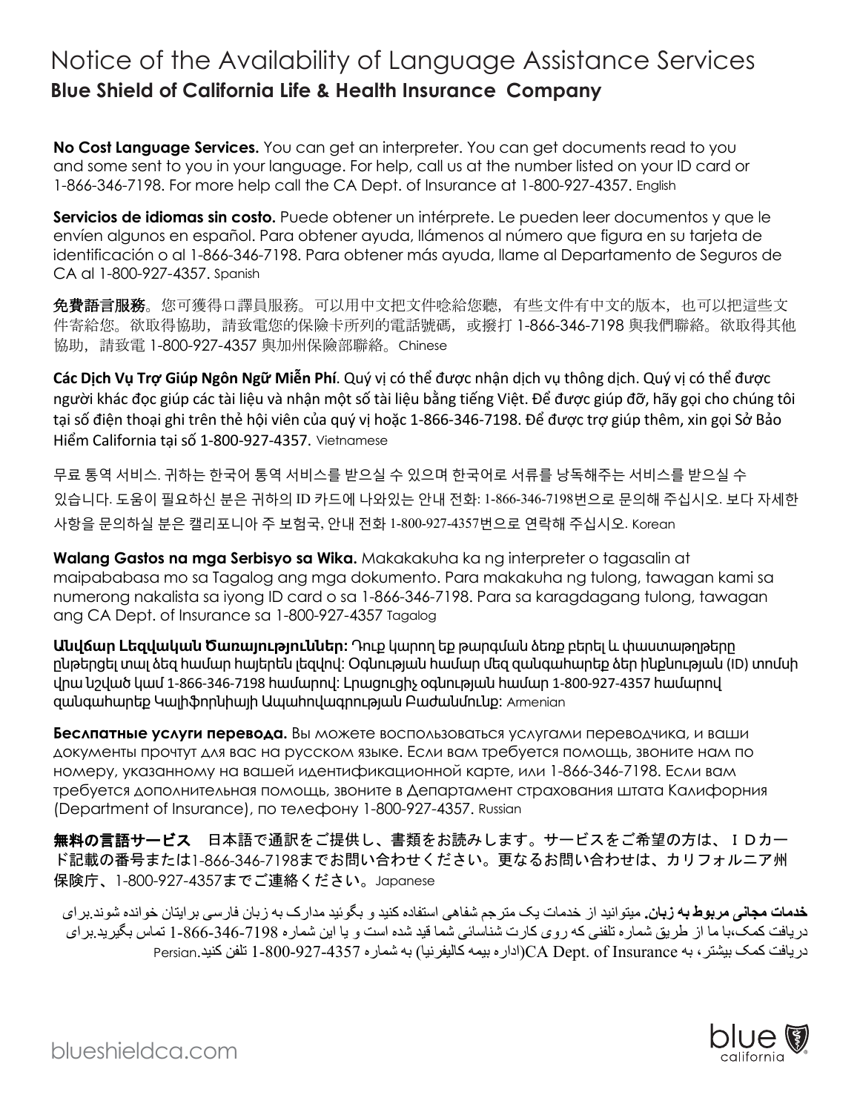# Notice of the Availability of Language Assistance Services **Blue Shield of California Life & Health Insurance Company**

**No Cost Language Services.** You can get an interpreter. You can get documents read to you and some sent to you in your language. For help, call us at the number listed on your ID card or 1-866-346-7198. For more help call the CA Dept. of Insurance at 1-800-927-4357. English

Servicios de idiomas sin costo. Puede obtener un intérprete. Le pueden leer documentos y que le envíen algunos en español. Para obtener ayuda, llámenos al número que figura en su tarjeta de identificación o al 1-866-346-7198. Para obtener más ayuda, llame al Departamento de Seguros de CA al 1-800-927-4357. Spanish

免費語言服務。您可獲得口譯員服務。可以用中文把文件唸給您聽,有些文件有中文的版本,也可以把這些文 件寄給您。欲取得協助,請致電您的保險卡所列的電話號碼,或撥打 1-866-346-7198 與我們聯絡。欲取得其他 協助,請致電 1-800-927-4357 與加州保險部聯絡。Chinese

**Các Dịch Vụ Trợ Giúp Ngôn Ngữ Miễn Phí**. Quý vị có thể được nhận dịch vụ thông dịch. Quý vị có thể được người khác đọc giúp các tài liệu và nhận một số tài liệu bằng tiếng Việt. Để được giúp đỡ, hãy gọi cho chúng tôi tại số điện thoại ghi trên thẻ hội viên của quý vị hoặc 1-866-346-7198. Để được trợ giúp thêm, xin gọi Sở Bảo Hiểm California tại số 1-800-927-4357. Vietnamese

무료 통역 서비스. 귀하는 한국어 통역 서비스를 받으실 수 있으며 한국어로 서류를 낭독해주는 서비스를 받으실 수 있습니다. 도움이 필요하신 분은 귀하의 ID 카드에 나와있는 안내 전화: 1-866-346-7198번으로 문의해 주십시오. 보다 자세한 사항을 문의하실 분은 캘리포니아 주 보험국, 안내 전화 1-800-927-4357번으로 연락해 주십시오. Korean

**Walang Gastos na mga Serbisyo sa Wika.** Makakakuha ka ng interpreter o tagasalin at maipababasa mo sa Tagalog ang mga dokumento. Para makakuha ng tulong, tawagan kami sa numerong nakalista sa iyong ID card o sa 1-866-346-7198. Para sa karagdagang tulong, tawagan ang CA Dept. of Insurance sa 1-800-927-4357 Tagalog

**Անվճար Լեզվական Ծառայություններ։** Դուք կարող եք թարգման ձեռք բերել և փաստաթղթերը ընթերցել տալ ձեզ համար հայերեն լեզվով։ Օգնության համար մեզ զանգահարեք ձեր ինքնության (ID) տոմսի վրա նշված կամ 1-866-346-7198 համարով։ Լրացուցիչ օգնության համար 1-800-927-4357 համարով զանգահարեք Կալիֆորնիայի Ապահովագրության Բաժանմունք։ Armenian

**Беслпатные услуги перевода.** Вы можете воспользоваться услугами переводчика, и ваши документы прочтут для вас на русском языке. Если вам требуется помощь, звоните нам по номеру, указанному на вашей идентификационной карте, или 1-866-346-7198. Если вам требуется дополнительная помощь, звоните в Департамент страхования штата Калифорния (Department of Insurance), по телефону 1-800-927-4357. Russian

無料の言語サービス 日本語で通訳をご提供し、書類をお読みします。サービスをご希望の方は、IDカー ド記載の番号または1-866-346-7198までお問い合わせください。更なるお問い合わせは、カリフォルニア州 保険庁、1-800-927-4357までご連絡ください。Japanese

**خدمات مجانی مربوط بھ زبان .** میتوانید از خدمات یک مترجم شفاھی استفاده کنید و بگوئید مدارک بھ زبان فارسی برایتان خوانده شوند .برای دریافت کمک،با ما از طریق شماره تلفنی کھ روی کارت شناسائی شما قید شده است و یا این شماره 1-866-346-7198 تماس بگیرید .برای دریافت کمک بیشتر، بھ Insurance of .Dept CA)اداره بیمھ کالیفرنیا ) بھ شماره 1-800-927-4357 تلفن کنید .Persian



blueshieldca.com